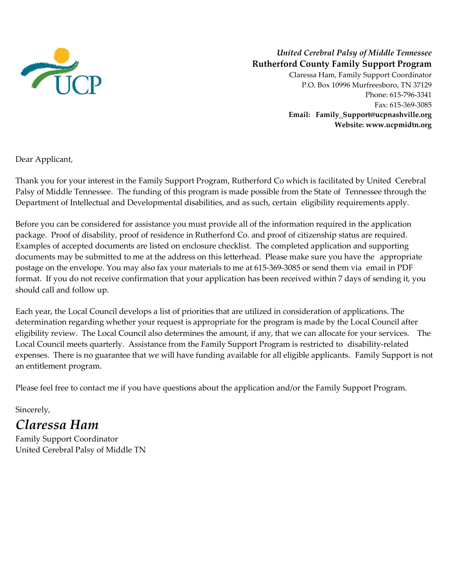

### *United Cerebral Palsy of Middle Tennessee* **Rutherford County Family Support Program**

Claressa Ham, Family Support Coordinator P.O. Box 10996 Murfreesboro, TN 37129 Phone: 615-796-3341 Fax: 615-369-3085 **Email: Family\_Support@ucpnashville.org Website: www.ucpmidtn.org**

Dear Applicant,

Thank you for your interest in the Family Support Program, Rutherford Co which is facilitated by United Cerebral Palsy of Middle Tennessee. The funding of this program is made possible from the State of Tennessee through the Department of Intellectual and Developmental disabilities, and as such, certain eligibility requirements apply.

Before you can be considered for assistance you must provide all of the information required in the application package. Proof of disability, proof of residence in Rutherford Co. and proof of citizenship status are required. Examples of accepted documents are listed on enclosure checklist. The completed application and supporting documents may be submitted to me at the address on this letterhead. Please make sure you have the appropriate postage on the envelope. You may also fax your materials to me at 615-369-3085 or send them via email in PDF format. If you do not receive confirmation that your application has been received within 7 days of sending it, you should call and follow up.

Each year, the Local Council develops a list of priorities that are utilized in consideration of applications. The determination regarding whether your request is appropriate for the program is made by the Local Council after eligibility review. The Local Council also determines the amount, if any, that we can allocate for your services. The Local Council meets quarterly. Assistance from the Family Support Program is restricted to disability-related expenses. There is no guarantee that we will have funding available for all eligible applicants. Family Support is not an entitlement program.

Please feel free to contact me if you have questions about the application and/or the Family Support Program.

## Sincerely, *Claressa Ham*

Family Support Coordinator United Cerebral Palsy of Middle TN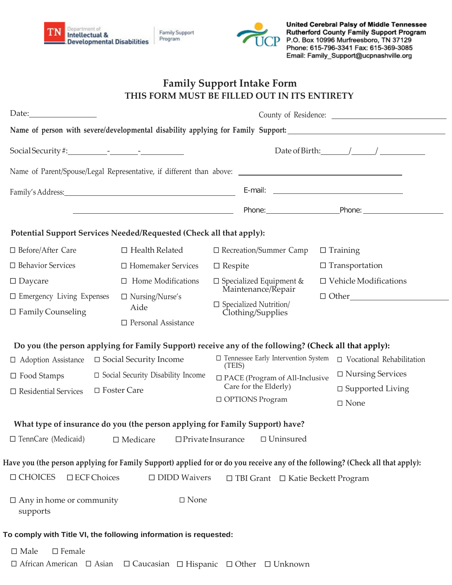



United Cerebral Palsy of Middle Tennessee Rutherford County Family Support Program P.O. Box 10996 Murfreesboro, TN 37129 Phone: 615-796-3341 Fax: 615-369-3085 Email: Family\_Support@ucpnashville.org

# **Family Support Intake Form THIS FORM MUST BE FILLED OUT IN ITS ENTIRETY**

|                                                                                                                                                                                                                                                  |                                                                                                   | County of Residence:                                                                                                                                                                                                                                                                                                    |  |  |
|--------------------------------------------------------------------------------------------------------------------------------------------------------------------------------------------------------------------------------------------------|---------------------------------------------------------------------------------------------------|-------------------------------------------------------------------------------------------------------------------------------------------------------------------------------------------------------------------------------------------------------------------------------------------------------------------------|--|--|
|                                                                                                                                                                                                                                                  |                                                                                                   |                                                                                                                                                                                                                                                                                                                         |  |  |
|                                                                                                                                                                                                                                                  |                                                                                                   | Date of Birth: $\angle$                                                                                                                                                                                                                                                                                                 |  |  |
|                                                                                                                                                                                                                                                  |                                                                                                   |                                                                                                                                                                                                                                                                                                                         |  |  |
|                                                                                                                                                                                                                                                  |                                                                                                   | Family's Address: E-mail: E-mail: E-mail: E-mail: E-mail: E-mail: E-mail: E-mail: E-mail: E-mail: E-mail: E-mail: E-mail: E-mail: E-mail: E-mail: E-mail: E-mail: E-mail: E-mail: E-mail: E-mail: E-mail: E-mail: E-mail: E-ma                                                                                          |  |  |
|                                                                                                                                                                                                                                                  |                                                                                                   | Phone: The Phone Phone: Phone Phone: Phone: Phone: Phone: Phone: Phone: Phone: Phone: Phone: Phone: Phone: Phone: Phone: Phone: Phone: Phone: Phone: Phone: Phone: Phone: Phone: Phone: Phone: Phone: Phone: Phone: Phone: Pho                                                                                          |  |  |
|                                                                                                                                                                                                                                                  | Potential Support Services Needed/Requested (Check all that apply):                               |                                                                                                                                                                                                                                                                                                                         |  |  |
| $\Box$ Before/After Care                                                                                                                                                                                                                         | $\Box$ Health Related                                                                             | □ Recreation/Summer Camp<br>$\Box$ Training                                                                                                                                                                                                                                                                             |  |  |
| $\Box$ Behavior Services                                                                                                                                                                                                                         | □ Homemaker Services                                                                              | $\Box$ Transportation<br>$\Box$ Respite                                                                                                                                                                                                                                                                                 |  |  |
| $\Box$ Daycare                                                                                                                                                                                                                                   | $\Box$ Home Modifications                                                                         | $\Box$ Vehicle Modifications<br>$\Box$ Specialized Equipment &<br>Maintenance/Repair                                                                                                                                                                                                                                    |  |  |
| $\square$ Emergency Living Expenses<br>$\Box$ Family Counseling                                                                                                                                                                                  | $\Box$ Nursing/Nurse's<br>Aide<br>$\square$ Personal Assistance                                   | $\Box$ Other $\Box$<br>$\square$ Specialized Nutrition/<br>Clothing/Supplies                                                                                                                                                                                                                                            |  |  |
| $\Box$ Adoption Assistance<br>$\Box$ Food Stamps<br>$\Box$ Residential Services                                                                                                                                                                  | $\Box$ Social Security Income<br>$\Box$ Social Security Disability Income<br>□ Foster Care        | Do you (the person applying for Family Support) receive any of the following? (Check all that apply):<br>$\Box$ Tennessee Early Intervention System<br>$\Box$ Vocational Rehabilitation<br>(TEIS)<br>$\Box$ Nursing Services<br>□ PACE (Program of All-Inclusive<br>Care for the Elderly)<br>$\square$ Supported Living |  |  |
|                                                                                                                                                                                                                                                  |                                                                                                   | □ OPTIONS Program<br>$\square$ None                                                                                                                                                                                                                                                                                     |  |  |
| What type of insurance do you (the person applying for Family Support) have?                                                                                                                                                                     |                                                                                                   |                                                                                                                                                                                                                                                                                                                         |  |  |
|                                                                                                                                                                                                                                                  | $\Box$ TennCare (Medicaid) $\Box$ Medicare $\Box$ Private Insurance                               | $\square$ Uninsured                                                                                                                                                                                                                                                                                                     |  |  |
| Have you (the person applying for Family Support) applied for or do you receive any of the following? (Check all that apply):<br>$\Box$ CHOICES<br>$\square$ ECF Choices<br>$\Box$ DIDD Waivers<br>$\Box$ TBI Grant $\Box$ Katie Beckett Program |                                                                                                   |                                                                                                                                                                                                                                                                                                                         |  |  |
| $\Box$ Any in home or community<br>supports                                                                                                                                                                                                      | $\square$ None                                                                                    |                                                                                                                                                                                                                                                                                                                         |  |  |
| To comply with Title VI, the following information is requested:                                                                                                                                                                                 |                                                                                                   |                                                                                                                                                                                                                                                                                                                         |  |  |
| $\square$ Male<br>$\square$ Female                                                                                                                                                                                                               | $\Box$ African American $\Box$ Asian $\Box$ Caucasian $\Box$ Hispanic $\Box$ Other $\Box$ Unknown |                                                                                                                                                                                                                                                                                                                         |  |  |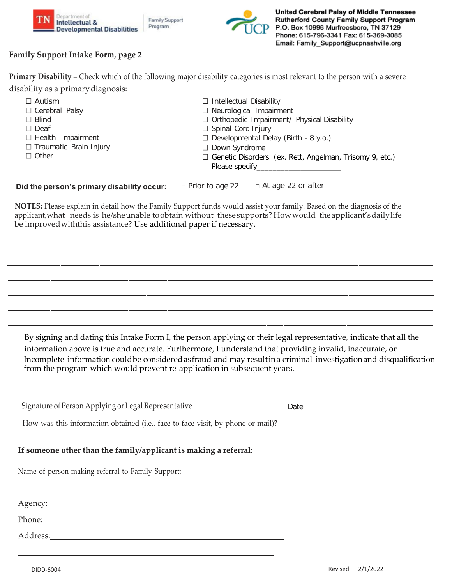





### **Family Support Intake Form, page 2**

| Primary Disability – Check which of the following major disability categories is most relevant to the person with a severe |
|----------------------------------------------------------------------------------------------------------------------------|
| disability as a primary diagnosis:                                                                                         |

| $\Box$ Autism                 | $\Box$ Intellectual Disability                                  |
|-------------------------------|-----------------------------------------------------------------|
| □ Cerebral Palsy              | $\Box$ Neurological Impairment                                  |
| $\Box$ Blind                  | $\Box$ Orthopedic Impairment/ Physical Disability               |
| $\Box$ Deaf                   | $\Box$ Spinal Cord Injury                                       |
| $\Box$ Health Impairment      | $\Box$ Developmental Delay (Birth - 8 y.o.)                     |
| $\Box$ Traumatic Brain Injury | $\Box$ Down Syndrome                                            |
| □ Other ______________        | $\Box$ Genetic Disorders: (ex. Rett, Angelman, Trisomy 9, etc.) |
|                               |                                                                 |
|                               |                                                                 |

#### **Did the person's primary disability occur:** □ Prior to age 22 □ At age 22 or after

**NOTES:** Please explain in detail how the Family Support funds would assist your family. Based on the diagnosis of the applicant,what needs is he/sheunable toobtain without thesesupports? Howwould theapplicant'sdailylife be improvedwiththis assistance? Use additional paper if necessary.

By signing and dating this Intake Form I, the person applying or their legal representative, indicate that all the information above is true and accurate. Furthermore, I understand that providing invalid, inaccurate, or Incomplete information couldbe consideredasfraud and may resultina criminal investigationand disqualification from the program which would prevent re-application in subsequent years.

Signature of Person Applying or Legal Representative **Date** Date

How was this information obtained (i.e., face to face visit, by phone or mail)?

### **If someone other than the family/applicant is making a referral:**

Name of person making referral to Family Support:

Agency:

Phone:

Address: